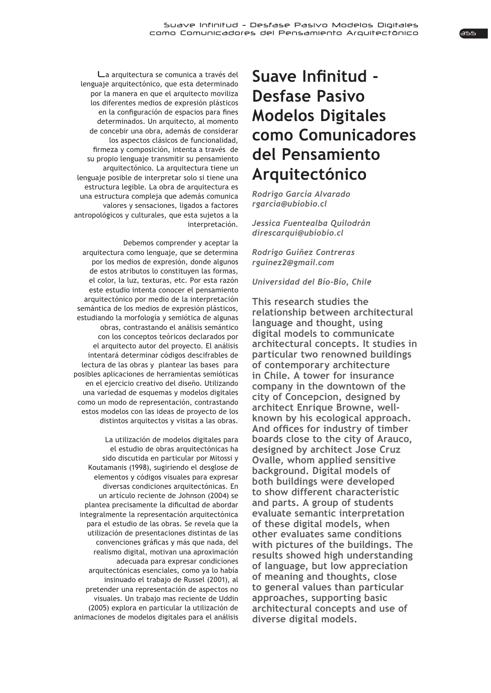La arquitectura se comunica a través del lenguaje arquitectónico, que esta determinado por la manera en que el arquitecto moviliza los diferentes medios de expresión plásticos en la configuración de espacios para fines determinados. Un arquitecto, al momento de concebir una obra, además de considerar los aspectos clásicos de funcionalidad, firmeza y composición, intenta a través de su propio lenguaje transmitir su pensamiento arquitectónico. La arquitectura tiene un lenguaje posible de interpretar solo si tiene una estructura legible. La obra de arquitectura es una estructura compleja que además comunica valores y sensaciones, ligados a factores antropológicos y culturales, que esta sujetos a la interpretación.

Debemos comprender y aceptar la arquitectura como lenguaje, que se determina por los medios de expresión, donde algunos de estos atributos lo constituyen las formas, el color, la luz, texturas, etc. Por esta razón este estudio intenta conocer el pensamiento arquitectónico por medio de la interpretación semántica de los medios de expresión plásticos, estudiando la morfología y semiótica de algunas obras, contrastando el análisis semántico con los conceptos teóricos declarados por el arquitecto autor del proyecto. El análisis intentará determinar códigos descifrables de lectura de las obras y plantear las bases para posibles aplicaciones de herramientas semióticas en el ejercicio creativo del diseño. Utilizando una variedad de esquemas y modelos digitales como un modo de representación, contrastando estos modelos con las ideas de proyecto de los distintos arquitectos y visitas a las obras.

La utilización de modelos digitales para el estudio de obras arquitectónicas ha sido discutida en particular por Mitossi y Koutamanis (1998), sugiriendo el desglose de elementos y códigos visuales para expresar diversas condiciones arquitectónicas. En un artículo reciente de Johnson (2004) se plantea precisamente la dificultad de abordar integralmente la representación arquitectónica para el estudio de las obras. Se revela que la utilización de presentaciones distintas de las convenciones gráficas y más que nada, del realismo digital, motivan una aproximación adecuada para expresar condiciones arquitectónicas esenciales, como ya lo había insinuado el trabajo de Russel (2001), al pretender una representación de aspectos no visuales. Un trabajo mas reciente de Uddin (2005) explora en particular la utilización de animaciones de modelos digitales para el análisis

## Suave Infinitud -**Desfase Pasivo Modelos Digitales como Comunicadores del Pensamiento Arquitectónico**

*Rodrigo García Alvarado*  $r$ garcia@ubiobio.cl

**Jessica Fuentealba Quilodrán** direscaraui@ubiobio.cl

**Rodrigo Guiñez Contreras** rguinez2@gmail.com

*Universidad del Bío-Bío, Chile* 

**This research studies the relationship between architectural language and thought, using digital models to communicate architectural concepts. It studies in particular two renowned buildings of contemporary architecture in Chile. A tower for insurance company in the downtown of the city of Concepcion, designed by architect Enrique Browne, wellknown by his ecological approach.**  And offices for industry of timber **boards close to the city of Arauco, designed by architect Jose Cruz 2** Ovalle, whom applied sensitive **background. Digital models of both buildings were developed to show different characteristic and parts. A group of students evaluate semantic interpretation of these digital models, when other evaluates same conditions with pictures of the buildings. The results showed high understanding of language, but low appreciation of meaning and thoughts, close to general values than particular approaches, supporting basic architectural concepts and use of diverse digital models.**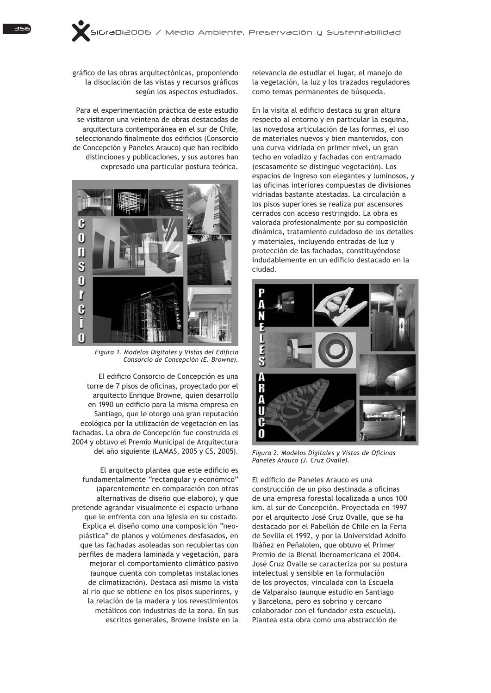gráfico de las obras arquitectónicas, proponiendo la disociación de las vistas y recursos gráficos según los aspectos estudiados.

Para el experimentación práctica de este estudio se visitaron una veintena de obras destacadas de arquitectura contemporánea en el sur de Chile, seleccionando finalmente dos edificios (Consorcio de Concepción y Paneles Arauco) que han recibido distinciones y publicaciones, y sus autores han expresado una particular postura teórica.



Figura 1. Modelos Digitales y Vistas del Edificio *Consorcio de Concepción (E. Browne).*

El edificio Consorcio de Concepción es una torre de 7 pisos de oficinas, proyectado por el arquitecto Enrique Browne, quien desarrollo en 1990 un edificio para la misma empresa en Santiago, que le otorgo una gran reputación ecológica por la utilización de vegetación en las fachadas. La obra de Concepción fue construida el 2004 y obtuvo el Premio Municipal de Arquitectura del año siguiente (LAMAS, 2005 y CS, 2005).

El arquitecto plantea que este edificio es fundamentalmente "rectangular y económico" (aparentemente en comparación con otras alternativas de diseño que elaboro), y que pretende agrandar visualmente el espacio urbano que le enfrenta con una iglesia en su costado. Explica el diseño como una composición "neoplástica" de planos y volúmenes desfasados, en que las fachadas asoleadas son recubiertas con perfiles de madera laminada y vegetación, para mejorar el comportamiento climático pasivo (aunque cuenta con completas instalaciones de climatización). Destaca así mismo la vista al rio que se obtiene en los pisos superiores, y la relación de la madera y los revestimientos metálicos con industrias de la zona. En sus escritos generales, Browne insiste en la

relevancia de estudiar el lugar, el manejo de la vegetación, la luz y los trazados reguladores como temas permanentes de búsqueda.

En la visita al edificio destaca su gran altura respecto al entorno y en particular la esquina, las novedosa articulación de las formas, el uso de materiales nuevos y bien mantenidos, con una curva vidriada en primer nivel, un gran techo en voladizo y fachadas con entramado (escasamente se distingue vegetación). Los espacios de ingreso son elegantes y luminosos, y las oficinas interiores compuestas de divisiones vidriadas bastante atestadas. La circulación a los pisos superiores se realiza por ascensores cerrados con acceso restringido. La obra es valorada profesionalmente por su composición dinámica, tratamiento cuidadoso de los detalles y materiales, incluyendo entradas de luz y protección de las fachadas, constituyéndose indudablemente en un edificio destacado en la ciudad.



Figura 2. Modelos Digitales y Vistas de Oficinas *Paneles Arauco (J. Cruz Ovalle).*

El edificio de Paneles Arauco es una construcción de un piso destinada a oficinas de una empresa forestal localizada a unos 100 km. al sur de Concepción. Proyectada en 1997 por el arquitecto José Cruz Ovalle, que se ha destacado por el Pabellón de Chile en la Feria de Sevilla el 1992, y por la Universidad Adolfo Ibáñez en Peñalolen, que obtuvo el Primer Premio de la Bienal Iberoamericana el 2004. José Cruz Ovalle se caracteriza por su postura intelectual y sensible en la formulación de los provectos, vinculada con la Escuela de Valparaíso (aunque estudio en Santiago y Barcelona, pero es sobrino y cercano colaborador con el fundador esta escuela). Plantea esta obra como una abstracción de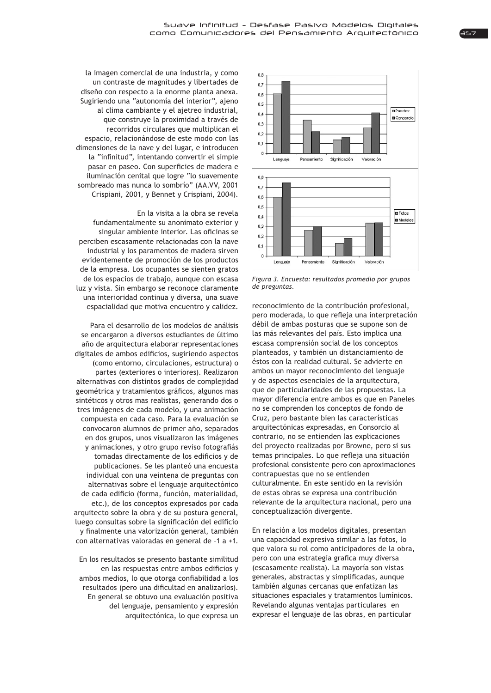la imagen comercial de una industria, y como un contraste de magnitudes y libertades de diseño con respecto a la enorme planta anexa. Sugiriendo una "autonomía del interior", ajeno al clima cambiante y el ajetreo industrial, que construye la proximidad a través de recorridos circulares que multiplican el espacio, relacionándose de este modo con las dimensiones de la nave y del lugar, e introducen la "infinitud", intentando convertir el simple pasar en paseo. Con superficies de madera e iluminación cenital que logre "lo suavemente sombreado mas nunca lo sombrío" (AA.VV, 2001 Crispiani, 2001, y Bennet y Crispiani, 2004).

En la visita a la obra se revela fundamentalmente su anonimato exterior v singular ambiente interior. Las oficinas se perciben escasamente relacionadas con la nave industrial y los paramentos de madera sirven evidentemente de promoción de los productos de la empresa. Los ocupantes se sienten gratos de los espacios de trabajo, aunque con escasa luz y vista. Sin embargo se reconoce claramente una interioridad continua y diversa, una suave espacialidad que motiva encuentro y calidez.

Para el desarrollo de los modelos de análisis se encargaron a diversos estudiantes de último año de arquitectura elaborar representaciones digitales de ambos edificios, sugiriendo aspectos (como entorno, circulaciones, estructura) o partes (exteriores o interiores). Realizaron alternativas con distintos grados de complejidad geométrica y tratamientos gráficos, algunos mas sintéticos y otros mas realistas, generando dos o tres imágenes de cada modelo, y una animación compuesta en cada caso. Para la evaluación se convocaron alumnos de primer año, separados en dos grupos, unos visualizaron las imágenes y animaciones, y otro grupo reviso fotografiás tomadas directamente de los edificios y de publicaciones. Se les planteó una encuesta individual con una veintena de preguntas con alternativas sobre el lenguaje arquitectónico de cada edificio (forma, función, materialidad, etc.), de los conceptos expresados por cada arquitecto sobre la obra y de su postura general, luego consultas sobre la significación del edificio v finalmente una valorización general, también con alternativas valoradas en general de -1 a +1.

En los resultados se presento bastante similitud en las respuestas entre ambos edificios y ambos medios, lo que otorga confiabilidad a los resultados (pero una dificultad en analizarlos). En general se obtuvo una evaluación positiva del lenguaje, pensamiento y expresión arquitectónica, lo que expresa un



*Figura 3. Encuesta: resultados promedio por grupos de preguntas.*

reconocimiento de la contribución profesional, pero moderada, lo que refleja una interpretación débil de ambas posturas que se supone son de las más relevantes del país. Esto implica una escasa comprensión social de los conceptos planteados, y también un distanciamiento de éstos con la realidad cultural. Se advierte en ambos un mayor reconocimiento del lenguaje y de aspectos esenciales de la arquitectura, que de particularidades de las propuestas. La mayor diferencia entre ambos es que en Paneles no se comprenden los conceptos de fondo de Cruz, pero bastante bien las características arquitectónicas expresadas, en Consorcio al contrario, no se entienden las explicaciones del proyecto realizadas por Browne, pero si sus temas principales. Lo que refleja una situación profesional consistente pero con aproximaciones contrapuestas que no se entienden culturalmente. En este sentido en la revisión de estas obras se expresa una contribución relevante de la arquitectura nacional, pero una conceptualización divergente.

En relación a los modelos digitales, presentan una capacidad expresiva similar a las fotos, lo que valora su rol como anticipadores de la obra, pero con una estrategia grafica muy diversa (escasamente realista). La mayoría son vistas generales, abstractas y simplificadas, aunque también algunas cercanas que enfatizan las situaciones espaciales y tratamientos lumínicos. Revelando algunas ventajas particulares en expresar el lenguaje de las obras, en particular